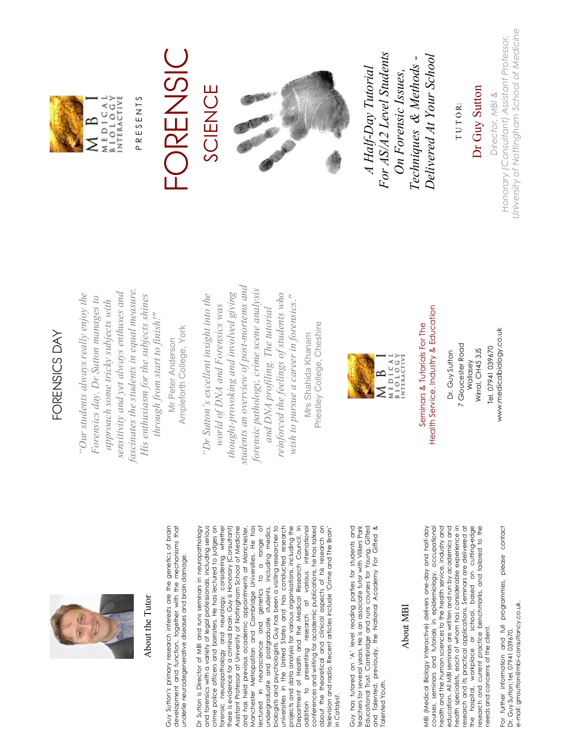

### About the Tutor About the Tutor

Guy Sutton's primary research interests are the genetics of brain<br>development and function, together with the mechanisms that Guy Sutton's primary research interests are the genetics of brain development and function, together with the mechanisms that underlie neurodegenerative diseases and brain damage. underlie neurodegenerative diseases and brain damage.

Ampleforth College, York

Ampleforth College, York

Dr Sutton is Director of MBI and runs seminars in neuropathology and forensics with a variety of legal professionals, including serious<br>crime police officers and barristers. He has lectured to judges on and forensics with a variety of legal professionals, including serious crime police officers and barristers. He has lectured to judges on forensic neuropathology and neurology, considering whether there is evidence for a criminal brain. Guy is Honorary (Consultant) Assistant Professor at University of Nottingham School of Medicine Assistant Professor at University of Nottingham School of Medicine and has held previous academic appointments at Manchester, Manchester Metropolitan and Cambridge Universities. He has lectured in neuroscience and genetics to a range of undergraduate and postgraduate students, including medics, biologists and psychologists. Guy has been a visiting researcher to biologists and psychologists. Guy has been a visiting researcher to universities in the United States and has conducted research universities in the United States and has conducted research projects and data analysis for various organisations, including the projects and data analysis for various organisations, including the Department of Health and the Medical Research Council. In Department of Health and the Medical Research Council. In addition to presenting research at various international addition to presenting research at various international conferences and writing for academic publications, he has talked conferences and writing for academic publications, he has talked about the theoretical and clinical aspects of his research on about the theoretical and clinical aspects of his research on television and radio. Recent articles include 'Crime and The Brain' Dr Sutton is Director of MBI and runs seminars in neuropathology considering whether there is evidence for a criminal brain. Guy is Honorary (Consultant) and has held previous academic appointments at Manchester, Manchester Metropolitan and Cambridge Universities. He has ectured in neuroscience and genetics to a range of undergraduate and postgraduate students, including medics, elevision and radio. Recent articles include 'Crime and The Brain' orensic neuropathology and neurology, in *Catalyst*. in Catalyst.

Educational Trust, Cambridge and runs courses for Young, Gifted<br>and Talented, previously, the National Academy For Gifted & Guy has tutored on 'A' level reading parties for students and Guy has tutored on 'A' level reading parties for students and teachers for several years. He is an associate tutor with Villiers Park Educational Trust, Cambridge and runs courses for Young, Gifted and Talented, previously, the National Academy For Gifted & teachers for several years. He is an associate tutor with Villiers Park **Ialented Youth.** Talented Youth.

#### About MBI About MBI

MBI (Medical Biology Interactive) delivers one-day and half-day courses, seminars and tutarials in epidemiology, occupational<br>health and the human sciences to the health service, industry and courses, seminars and tutorials in epidemiology, occupational health and the human sciences to the health service, industry and education. All MBI seminars are written and run by academics and health specialists, each of whom has considerable experience in health specialists, each of whom has considerable experience in research and its practical applications. Seminars are delivered at<br>the hospital, workplace or school, based on cutting-edge research and its practical applications. Seminars are delivered at the hospital, workplace or school, based on cutting-edge research and current practice benchmarks, and tailored to the MBI (Medical Biology Interactive) delivers one-day and half-day education. All MBI seminars are written and run by academics and research and current practice benchmarks, and tailored to the needs and concerns of the client. needs and concerns of the client.

For further information and full programmes, please contact For further information and full programmes, please contact e-mail: gmsutton@mbi-consultancy.co.uk. e-mail: gmsutton@mbi-consultancy.co.uk. Dr. Guy Sutton; tel. 07941 039670, Dr. Guy Sutton; tel. 07941 039670,

# FORENSICS DAY FORENSICS DAY

*fascinates the students in equal measure. sensitivity and yet always enthuses and*  fascinates the students in equal measure. Our students always really enjoy the  *"Our students always really enjoy the*  sensitivity and yet always enthuses and His enthusiasm for the subjects shines *His enthusiasm for the subjects shines Forensics day. Dr Sutton manages to*  Forensics day. Dr Sutton manages to approach some tricky subjects with *approach some tricky subjects with*  through from start to finish!" *through from start to finish!"*  Mr Peter Anderson Mr Peter Anderson

*students an overview of post-mortems and*  students an overview of post-mortems and *forensic pathology, crime scene analysis*  forensic pathology, crime scene analysis *thought-provoking and involved giving*  thought-provoking and involved giving reinforced the feelings of students who *reinforced the feelings of students who*  "Dr Sutton's excellent insight into the *"Dr Sutton's excellent insight into the*  wish to pursue a career in forensics." *wish to pursue a career in forensics."* world of DNA and Forensics was *world of DNA and Forensics was and DNA profiling. The tutorial*  and DNA profiling. The tutorial

Priestley College, Cheshire Priestley College, Cheshire Mrs Shahida Khanam Mrs Shahida Khanam



## Health Service, Industry & Education Health Service, Industry & Education Seminars & Tutorials For The Seminars & Tutorials For The

www.medicalbiology.co.uk www.medicalbiology.co.uk 7 Gloucester Road 7 Gloucester Road Tel. 07941 039670 Tel. 07941 039670 Wallasey<br>Wirral, CH45 3JS Wirral, CH45 3JS Dr. Guy Sutton Dr. Guy Sutton

MEDICAL<br>BIOLOGY<br>INTERACTIVE B ⋝

PRESENTS P R E S E N T S

## FORENSIC **USIC** SCIENCE SCIENCE



 *For AS/A2 Level Students*  For AS/A2 Level Students  *Delivered At Your School Techniques & Methods -*  Delivered At Your School Techniques & Methods- *A Half-Day Tutorial*  A Half-Day Tutorial  *On Forensic Issues,*  On Forensic Issues,

IUTOR: T U T O R:

Dr Guy Sutton Dr Guy Sutton

University of Nottingham School of Medicine *University of Nottingham School of Medicine Honorary (Consultant) Assistant Professor,*  Honorary (Consultant) Assistant Professor, Director, MBI & *Director, MBI &*